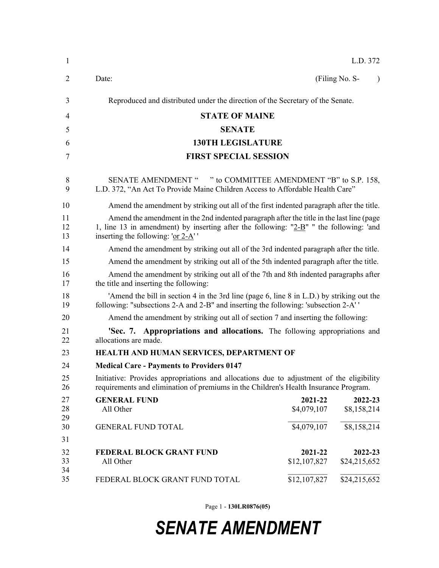| $\mathbf{1}$   |                                                                                                                                                                                                                              |                         | L.D. 372                    |  |
|----------------|------------------------------------------------------------------------------------------------------------------------------------------------------------------------------------------------------------------------------|-------------------------|-----------------------------|--|
| $\overline{2}$ | Date:                                                                                                                                                                                                                        |                         | (Filing No. S-<br>$\lambda$ |  |
| 3              | Reproduced and distributed under the direction of the Secretary of the Senate.                                                                                                                                               |                         |                             |  |
| 4              | <b>STATE OF MAINE</b>                                                                                                                                                                                                        |                         |                             |  |
| 5              | <b>SENATE</b>                                                                                                                                                                                                                |                         |                             |  |
| 6              | <b>130TH LEGISLATURE</b>                                                                                                                                                                                                     |                         |                             |  |
| 7              | <b>FIRST SPECIAL SESSION</b>                                                                                                                                                                                                 |                         |                             |  |
| 8<br>9         | SENATE AMENDMENT " " to COMMITTEE AMENDMENT "B" to S.P. 158,<br>L.D. 372, "An Act To Provide Maine Children Access to Affordable Health Care"                                                                                |                         |                             |  |
| 10             | Amend the amendment by striking out all of the first indented paragraph after the title.                                                                                                                                     |                         |                             |  |
| 11<br>12<br>13 | Amend the amendment in the 2nd indented paragraph after the title in the last line (page<br>1, line 13 in amendment) by inserting after the following: " $2-B$ " " the following: 'and<br>inserting the following: 'or 2-A'' |                         |                             |  |
| 14             | Amend the amendment by striking out all of the 3rd indented paragraph after the title.                                                                                                                                       |                         |                             |  |
| 15             | Amend the amendment by striking out all of the 5th indented paragraph after the title.                                                                                                                                       |                         |                             |  |
| 16<br>17       | Amend the amendment by striking out all of the 7th and 8th indented paragraphs after<br>the title and inserting the following:                                                                                               |                         |                             |  |
| 18<br>19       | 'Amend the bill in section 4 in the 3rd line (page 6, line 8 in L.D.) by striking out the<br>following: "subsections 2-A and 2-B" and inserting the following: 'subsection 2-A''                                             |                         |                             |  |
| 20             | Amend the amendment by striking out all of section 7 and inserting the following:                                                                                                                                            |                         |                             |  |
| 21<br>22       | <b>Sec. 7. Appropriations and allocations.</b> The following appropriations and<br>allocations are made.                                                                                                                     |                         |                             |  |
| 23             | HEALTH AND HUMAN SERVICES, DEPARTMENT OF                                                                                                                                                                                     |                         |                             |  |
| 24             | <b>Medical Care - Payments to Providers 0147</b>                                                                                                                                                                             |                         |                             |  |
| 25<br>26       | Initiative: Provides appropriations and allocations due to adjustment of the eligibility<br>requirements and elimination of premiums in the Children's Health Insurance Program.                                             |                         |                             |  |
| 27<br>28<br>29 | <b>GENERAL FUND</b><br>All Other                                                                                                                                                                                             | 2021-22<br>\$4,079,107  | 2022-23<br>\$8,158,214      |  |
| 30<br>31       | <b>GENERAL FUND TOTAL</b>                                                                                                                                                                                                    | \$4,079,107             | \$8,158,214                 |  |
| 32<br>33<br>34 | FEDERAL BLOCK GRANT FUND<br>All Other                                                                                                                                                                                        | 2021-22<br>\$12,107,827 | 2022-23<br>\$24,215,652     |  |
| 35             | FEDERAL BLOCK GRANT FUND TOTAL                                                                                                                                                                                               | \$12,107,827            | \$24,215,652                |  |

Page 1 - **130LR0876(05)**

## *SENATE AMENDMENT*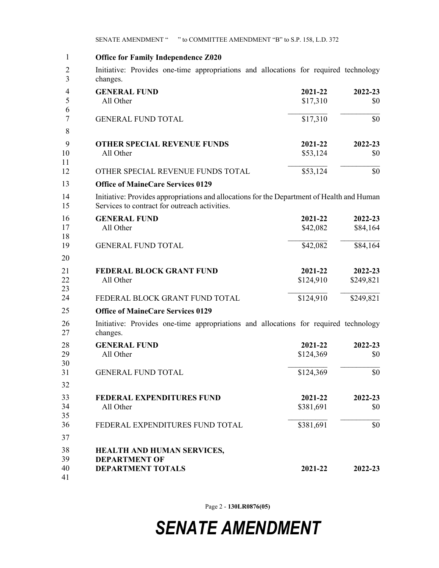SENATE AMENDMENT " " to COMMITTEE AMENDMENT "B" to S.P. 158, L.D. 372

1 **Office for Family Independence Z020** 2 Initiative: Provides one-time appropriations and allocations for required technology 3 changes. **GENERAL FUND 2021-22 2022-23** All Other \$17,310 \$0  $\_$ GENERAL FUND TOTAL \$17,310 \$0 4 8 **OTHER SPECIAL REVENUE FUNDS 2021-22 2022-23** All Other \$53,124 \$0  $\mathcal{L}_\text{max}$ OTHER SPECIAL REVENUE FUNDS TOTAL \$53,124 \$0 9 **Office of MaineCare Services 0129** 14 Initiative: Provides appropriations and allocations for the Department of Health and Human 15 Services to contract for outreach activities. **GENERAL FUND 2021-22 2022-23** All Other \$42,082 \$84,164  $\mathcal{L}_\text{max}$ GENERAL FUND TOTAL \$42,082 \$84,164 16 20 **FEDERAL BLOCK GRANT FUND 2021-22 2022-23** All Other \$124,910 \$249,821 FEDERAL BLOCK GRANT FUND TOTAL \$124,910 \$249,821 **Office of MaineCare Services 0129** 26 Initiative: Provides one-time appropriations and allocations for required technology 27 changes. **GENERAL FUND 2021-22 2022-23** All Other \$124,369 \$0  $\_$ GENERAL FUND TOTAL \$124,369 \$0 28 32 **FEDERAL EXPENDITURES FUND 2021-22 2022-23** All Other \$381,691 \$0  $\mathcal{L}_\text{max}$ FEDERAL EXPENDITURES FUND TOTAL \$381,691 \$0 33 37 **HEALTH AND HUMAN SERVICES, DEPARTMENT OF DEPARTMENT TOTALS 2021-22 2022-23** 1 4 5 6 7 9 10 11 12 13 16 17 18 19 21 22 23 24 25 28 29 30 31 33 34 35 36 38 39 40 41

Page 2 - **130LR0876(05)**